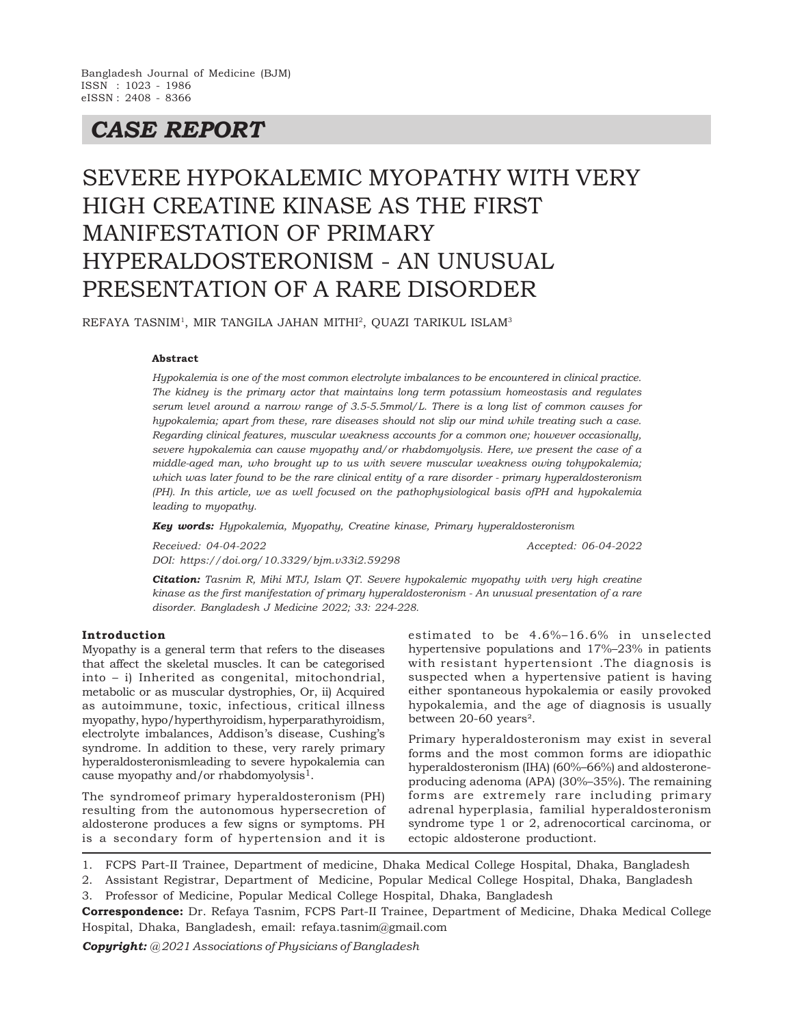# *CASE REPORT*

# SEVERE HYPOKALEMIC MYOPATHY WITH VERY HIGH CREATINE KINASE AS THE FIRST MANIFESTATION OF PRIMARY HYPERALDOSTERONISM - AN UNUSUAL PRESENTATION OF A RARE DISORDER

REFAYA TASNIM<sup>1</sup>, MIR TANGILA JAHAN MITHI<sup>2</sup>, QUAZI TARIKUL ISLAM<sup>3</sup>

#### **Abstract**

*Hypokalemia is one of the most common electrolyte imbalances to be encountered in clinical practice. The kidney is the primary actor that maintains long term potassium homeostasis and regulates serum level around a narrow range of 3.5-5.5mmol/L. There is a long list of common causes for hypokalemia; apart from these, rare diseases should not slip our mind while treating such a case. Regarding clinical features, muscular weakness accounts for a common one; however occasionally, severe hypokalemia can cause myopathy and/or rhabdomyolysis. Here, we present the case of a middle-aged man, who brought up to us with severe muscular weakness owing tohypokalemia; which was later found to be the rare clinical entity of a rare disorder - primary hyperaldosteronism (PH). In this article, we as well focused on the pathophysiological basis ofPH and hypokalemia leading to myopathy.*

*Key words: Hypokalemia, Myopathy, Creatine kinase, Primary hyperaldosteronism*

*Received: 04-04-2022 Accepted: 06-04-2022 DOI: https://doi.org/10.3329/bjm.v33i2.59298*

*Citation: Tasnim R, Mihi MTJ, Islam QT. Severe hypokalemic myopathy with very high creatine kinase as the first manifestation of primary hyperaldosteronism - An unusual presentation of a rare disorder. Bangladesh J Medicine 2022; 33: 224-228.*

## **Introduction**

Myopathy is a general term that refers to the diseases that affect the skeletal muscles. It can be categorised into – i) Inherited as congenital, mitochondrial, metabolic or as muscular dystrophies, Or, ii) Acquired as autoimmune, toxic, infectious, critical illness myopathy, hypo/hyperthyroidism, hyperparathyroidism, electrolyte imbalances, Addison's disease, Cushing's syndrome. In addition to these, very rarely primary hyperaldosteronismleading to severe hypokalemia can cause myopathy and/or rhabdomyolysis<sup>1</sup>.

The syndromeof primary hyperaldosteronism (PH) resulting from the autonomous hypersecretion of aldosterone produces a few signs or symptoms. PH is a secondary form of hypertension and it is

estimated to be 4.6%–16.6% in unselected hypertensive populations and 17%–23% in patients with resistant hypertensiont .The diagnosis is suspected when a hypertensive patient is having either spontaneous hypokalemia or easily provoked hypokalemia, and the age of diagnosis is usually between 20-60 years².

Primary hyperaldosteronism may exist in several forms and the most common forms are idiopathic hyperaldosteronism (IHA) (60%–66%) and aldosteroneproducing adenoma (APA) (30%–35%). The remaining forms are extremely rare including primary adrenal hyperplasia, familial hyperaldosteronism syndrome type 1 or 2, adrenocortical carcinoma, or ectopic aldosterone productiont.

1. FCPS Part-II Trainee, Department of medicine, Dhaka Medical College Hospital, Dhaka, Bangladesh

2. Assistant Registrar, Department of Medicine, Popular Medical College Hospital, Dhaka, Bangladesh 3. Professor of Medicine, Popular Medical College Hospital, Dhaka, Bangladesh

**Correspondence:** Dr. Refaya Tasnim, FCPS Part-II Trainee, Department of Medicine, Dhaka Medical College Hospital, Dhaka, Bangladesh, email: refaya.tasnim@gmail.com

*Copyright: @ 2021 Associations of Physicians of Bangladesh*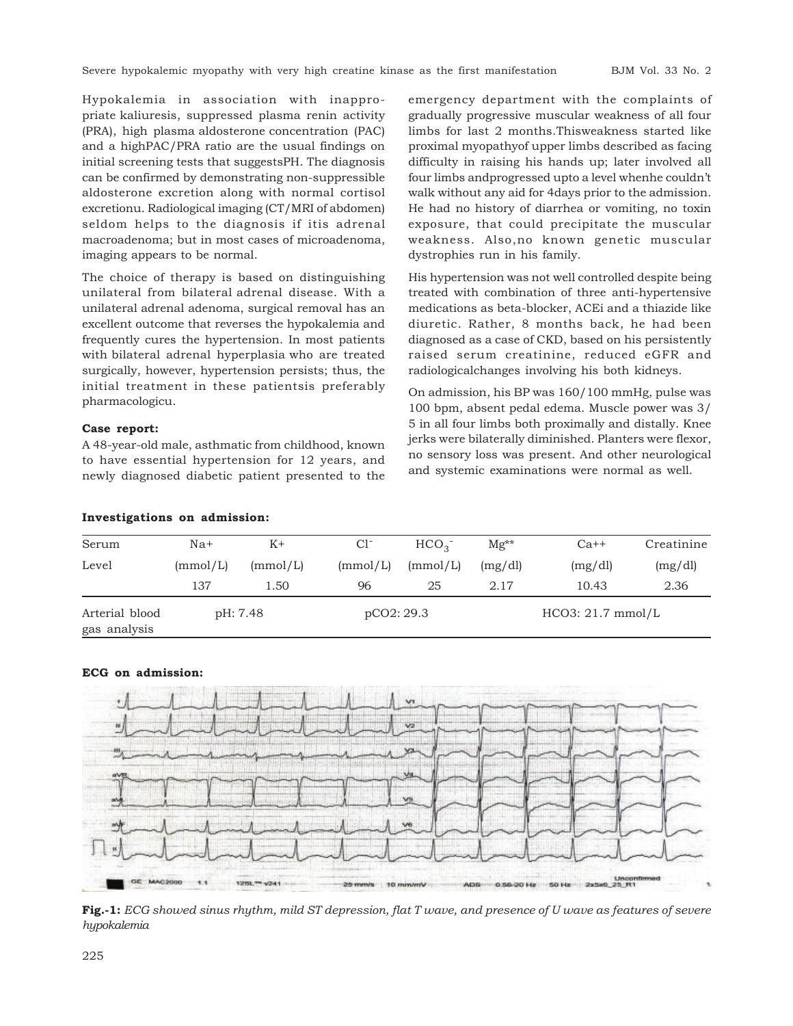Hypokalemia in association with inappropriate kaliuresis, suppressed plasma renin activity (PRA), high plasma aldosterone concentration (PAC) and a highPAC/PRA ratio are the usual findings on initial screening tests that suggestsPH. The diagnosis can be confirmed by demonstrating non-suppressible aldosterone excretion along with normal cortisol excretionu. Radiological imaging (CT/MRI of abdomen) seldom helps to the diagnosis if itis adrenal macroadenoma; but in most cases of microadenoma, imaging appears to be normal.

The choice of therapy is based on distinguishing unilateral from bilateral adrenal disease. With a unilateral adrenal adenoma, surgical removal has an excellent outcome that reverses the hypokalemia and frequently cures the hypertension. In most patients with bilateral adrenal hyperplasia who are treated surgically, however, hypertension persists; thus, the initial treatment in these patientsis preferably pharmacologicu.

# **Case report:**

A 48-year-old male, asthmatic from childhood, known to have essential hypertension for 12 years, and newly diagnosed diabetic patient presented to the emergency department with the complaints of gradually progressive muscular weakness of all four limbs for last 2 months.Thisweakness started like proximal myopathyof upper limbs described as facing difficulty in raising his hands up; later involved all four limbs andprogressed upto a level whenhe couldn't walk without any aid for 4days prior to the admission. He had no history of diarrhea or vomiting, no toxin exposure, that could precipitate the muscular weakness. Also,no known genetic muscular dystrophies run in his family.

His hypertension was not well controlled despite being treated with combination of three anti-hypertensive medications as beta-blocker, ACEi and a thiazide like diuretic. Rather, 8 months back, he had been diagnosed as a case of CKD, based on his persistently raised serum creatinine, reduced eGFR and radiologicalchanges involving his both kidneys.

On admission, his BP was 160/100 mmHg, pulse was 100 bpm, absent pedal edema. Muscle power was 3/ 5 in all four limbs both proximally and distally. Knee jerks were bilaterally diminished. Planters were flexor, no sensory loss was present. And other neurological and systemic examinations were normal as well.

| Serum                          | $Na+$    | $K+$     | $Cl^-$     | HCO <sub>3</sub> | $Mg^{**}$           | $Ca++$  | Creatinine |
|--------------------------------|----------|----------|------------|------------------|---------------------|---------|------------|
| Level                          | (mmol/L) | (mmol/L) | (mmol/L)   | (mmol/L)         | (mg/dl)             | (mg/dl) | (mg/dl)    |
|                                | 137      | 1.50     | 96         | 25               | 2.17                | 10.43   | 2.36       |
| Arterial blood<br>gas analysis | pH: 7.48 |          | pCO2: 29.3 |                  | $HCO3: 21.7$ mmol/L |         |            |

#### **Investigations on admission:**

# **ECG on admission:**



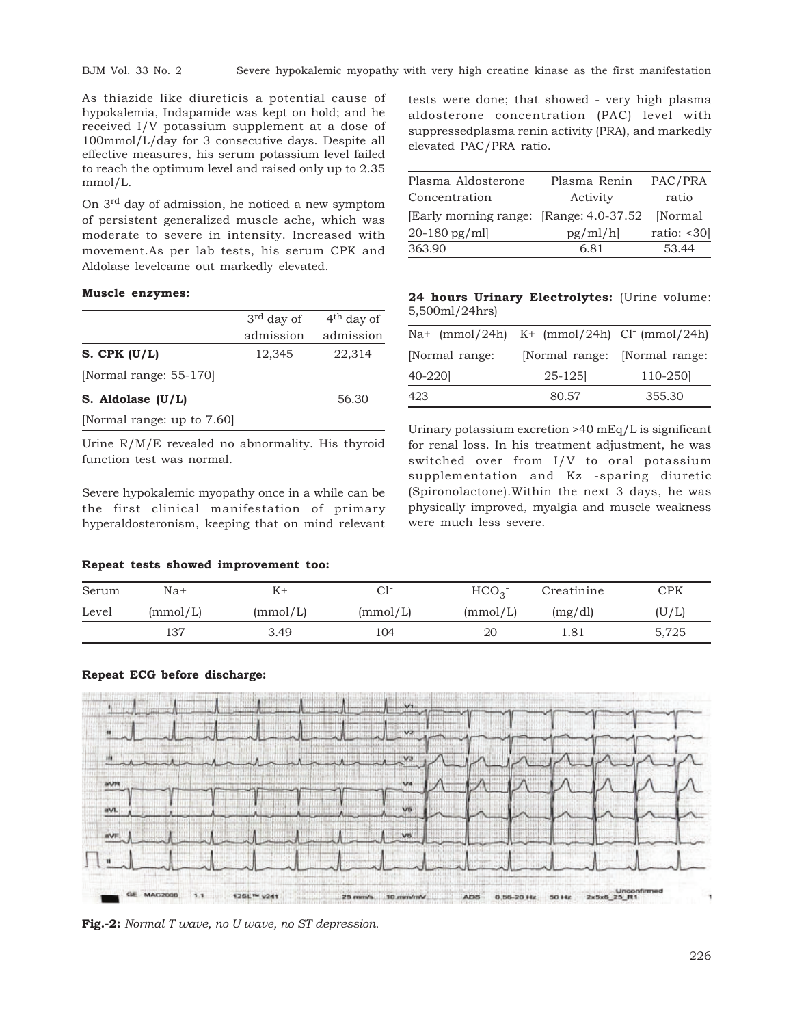As thiazide like diureticis a potential cause of hypokalemia, Indapamide was kept on hold; and he received I/V potassium supplement at a dose of 100mmol/L/day for 3 consecutive days. Despite all effective measures, his serum potassium level failed to reach the optimum level and raised only up to 2.35 mmol/L.

On 3rd day of admission, he noticed a new symptom of persistent generalized muscle ache, which was moderate to severe in intensity. Increased with movement.As per lab tests, his serum CPK and Aldolase levelcame out markedly elevated.

#### **Muscle enzymes:**

|                            | $3rd$ day of | $4th$ day of |
|----------------------------|--------------|--------------|
|                            | admission    | admission    |
| S. CPK $(U/L)$             | 12,345       | 22,314       |
| [Normal range: 55-170]     |              |              |
| S. Aldolase $(U/L)$        |              | 56.30        |
| [Normal range: up to 7.60] |              |              |

Urine R/M/E revealed no abnormality. His thyroid function test was normal.

Severe hypokalemic myopathy once in a while can be the first clinical manifestation of primary hyperaldosteronism, keeping that on mind relevant

tests were done; that showed - very high plasma aldosterone concentration (PAC) level with suppressedplasma renin activity (PRA), and markedly elevated PAC/PRA ratio.

| Plasma Aldosterone                       | Plasma Renin | PAC/PRA         |
|------------------------------------------|--------------|-----------------|
| Concentration                            | Activity     | ratio           |
| [Early morning range: [Range: 4.0-37.52] |              | [Normal         |
| $20 - 180$ pg/ml                         | pg/ml/h      | ratio: $< 30$ ] |
| 363.90                                   | 6.81         | 53.44           |

**24 hours Urinary Electrolytes:** (Urine volume: 5,500ml/24hrs)

| $\text{Na}^+$ (mmol/24h) K+ (mmol/24h) Cl <sup>-</sup> (mmol/24h) |                               |         |
|-------------------------------------------------------------------|-------------------------------|---------|
| [Normal range:                                                    | [Normal range: [Normal range: |         |
| 40-2201                                                           | $25 - 125$                    | 110-250 |
| 423                                                               | 80.57                         | 355.30  |

Urinary potassium excretion >40 mEq/L is significant for renal loss. In his treatment adjustment, he was switched over from I/V to oral potassium supplementation and Kz -sparing diuretic (Spironolactone).Within the next 3 days, he was physically improved, myalgia and muscle weakness were much less severe.

#### **Repeat tests showed improvement too:**

| Serum | $Na+$    |          | C1-      | HCO <sub>2</sub> | Creatinine | $_{\mathrm{CPK}}$ |
|-------|----------|----------|----------|------------------|------------|-------------------|
| Level | (mmol/L) | (mmol/L) | (mmol/L) | (mmol/L)         | (mg/dl)    | (U/L)             |
|       | 137      | 3.49     | 104      | 20               | 1.81       | 5,725             |

# **Repeat ECG before discharge:**



**Fig.-2:** *Normal T wave, no U wave, no ST depression.*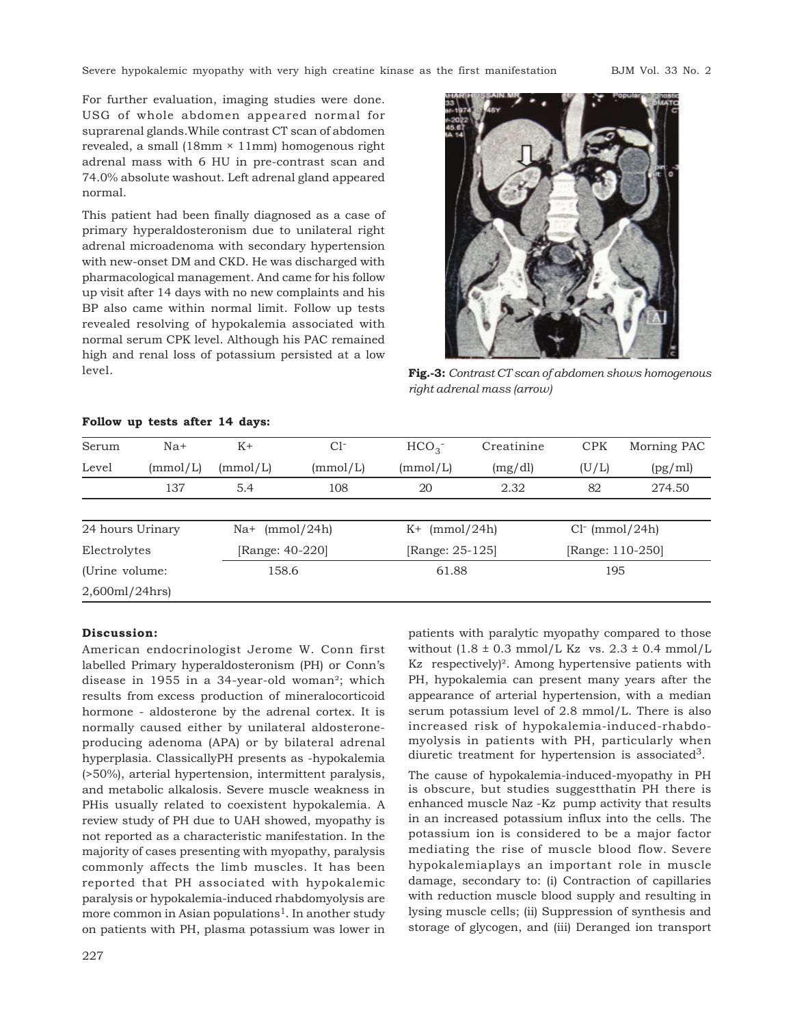Severe hypokalemic myopathy with very high creatine kinase as the first manifestation BJM Vol. 33 No. 2

For further evaluation, imaging studies were done. USG of whole abdomen appeared normal for suprarenal glands.While contrast CT scan of abdomen revealed, a small  $(18 \text{mm} \times 11 \text{mm})$  homogenous right adrenal mass with 6 HU in pre-contrast scan and 74.0% absolute washout. Left adrenal gland appeared normal.

This patient had been finally diagnosed as a case of primary hyperaldosteronism due to unilateral right adrenal microadenoma with secondary hypertension with new-onset DM and CKD. He was discharged with pharmacological management. And came for his follow up visit after 14 days with no new complaints and his BP also came within normal limit. Follow up tests revealed resolving of hypokalemia associated with normal serum CPK level. Although his PAC remained high and renal loss of potassium persisted at a low level.



**Fig.-3:** *Contrast CT scan of abdomen shows homogenous right adrenal mass (arrow)*

| Serum            | $Na+$           | $K+$                     | $Cl-$    | $HCO3$ <sup>-</sup> | Creatinine | <b>CPK</b>       | Morning PAC |
|------------------|-----------------|--------------------------|----------|---------------------|------------|------------------|-------------|
| Level            | $\text{mmol/L}$ | (mmol/L)                 | (mmol/L) | (mmol/L)            | (mg/dl)    | (U/L)            | (pg/ml)     |
|                  | 137             | 5.4                      | 108      | 20                  | 2.32       | 82               | 274.50      |
|                  |                 |                          |          |                     |            |                  |             |
| 24 hours Urinary |                 | $\text{Na}^+$ (mmol/24h) |          | (mmol/24h)<br>K+    |            | $Cl-$ (mmol/24h) |             |
| Electrolytes     |                 | [Range: 40-220]          |          | [Range: 25-125]     |            | [Range: 110-250] |             |
| (Urine volume:   |                 | 158.6                    |          | 61.88               |            | 195              |             |
| 2,600ml/24hrs    |                 |                          |          |                     |            |                  |             |

# **Follow up tests after 14 days:**

#### **Discussion:**

American endocrinologist Jerome W. Conn first labelled Primary hyperaldosteronism (PH) or Conn's disease in 1955 in a 34-year-old woman²; which results from excess production of mineralocorticoid hormone - aldosterone by the adrenal cortex. It is normally caused either by unilateral aldosteroneproducing adenoma (APA) or by bilateral adrenal hyperplasia. ClassicallyPH presents as -hypokalemia (>50%), arterial hypertension, intermittent paralysis, and metabolic alkalosis. Severe muscle weakness in PHis usually related to coexistent hypokalemia. A review study of PH due to UAH showed, myopathy is not reported as a characteristic manifestation. In the majority of cases presenting with myopathy, paralysis commonly affects the limb muscles. It has been reported that PH associated with hypokalemic paralysis or hypokalemia-induced rhabdomyolysis are more common in Asian populations<sup>1</sup>. In another study on patients with PH, plasma potassium was lower in patients with paralytic myopathy compared to those without  $(1.8 \pm 0.3 \text{ mmol/L Kz}$  vs.  $2.3 \pm 0.4 \text{ mmol/L}$ Kz respectively)². Among hypertensive patients with PH, hypokalemia can present many years after the appearance of arterial hypertension, with a median serum potassium level of 2.8 mmol/L. There is also increased risk of hypokalemia-induced-rhabdomyolysis in patients with PH, particularly when diuretic treatment for hypertension is associated<sup>3</sup>.

The cause of hypokalemia-induced-myopathy in PH is obscure, but studies suggestthatin PH there is enhanced muscle Naz -Kz pump activity that results in an increased potassium influx into the cells. The potassium ion is considered to be a major factor mediating the rise of muscle blood flow. Severe hypokalemiaplays an important role in muscle damage, secondary to: (i) Contraction of capillaries with reduction muscle blood supply and resulting in lysing muscle cells; (ii) Suppression of synthesis and storage of glycogen, and (iii) Deranged ion transport